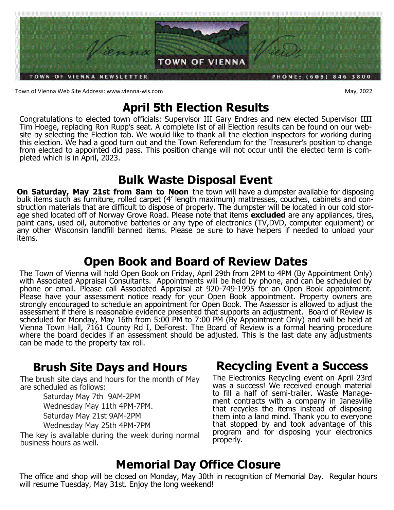

Town of Vienna Web Site Address: www.vienna-wis.com **May, 2022** 

# **April 5th Election Results**

Congratulations to elected town officials: Supervisor III Gary Endres and new elected Supervisor IIII Tim Hoege, replacing Ron Rupp's seat. A complete list of all Election results can be found on our website by selecting the Election tab. We would like to thank all the election inspectors for working during this election. We had a good turn out and the Town Referendum for the Treasurer's position to change from elected to appointed did pass. This position change will not occur until the elected term is completed which is in April, 2023.

# **Bulk Waste Disposal Event**

**On Saturday, May 21st from 8am to Noon** the town will have a dumpster available for disposing bulk items such as furniture, rolled carpet (4' length maximum) mattresses, couches, cabinets and construction materials that are difficult to dispose of properly. The dumpster will be located in our cold storage shed located off of Norway Grove Road. Please note that items **excluded** are any appliances, tires, paint cans, used oil, automotive batteries or any type of electronics (TV,DVD, computer equipment) or any other Wisconsin landfill banned items. Please be sure to have helpers if needed to unload your items.

# **Open Book and Board of Review Dates**

The Town of Vienna will hold Open Book on Friday, April 29th from 2PM to 4PM (By Appointment Only) with Associated Appraisal Consultants. Appointments will be held by phone, and can be scheduled by phone or email. Please call Associated Appraisal at 920-749-1995 for an Open Book appointment. Please have your assessment notice ready for your Open Book appointment. Property owners are strongly encouraged to schedule an appointment for Open Book. The Assessor is allowed to adjust the assessment if there is reasonable evidence presented that supports an adjustment. Board of Review is scheduled for Monday, May 16th from 5:00 PM to 7:00 PM (By Appointment Only) and will be held at Vienna Town Hall, 7161 County Rd I, DeForest. The Board of Review is a formal hearing procedure where the board decides if an assessment should be adjusted. This is the last date any adjustments can be made to the property tax roll.

# **Brush Site Days and Hours**

The brush site days and hours for the month of May are scheduled as follows:

Saturday May 7th 9AM-2PM Wednesday May 11th 4PM-7PM. Saturday May 21st 9AM-2PM

Wednesday May 25th 4PM-7PM

The key is available during the week during normal business hours as well.

# **Recycling Event a Success**

The Electronics Recycling event on April 23rd was a success! We received enough material to fill a half of semi-trailer. Waste Management contracts with a company in Janesville that recycles the items instead of disposing them into a land mind. Thank you to everyone that stopped by and took advantage of this program and for disposing your electronics properly.

# **Memorial Day Office Closure**

The office and shop will be closed on Monday, May 30th in recognition of Memorial Day. Regular hours will resume Tuesday, May 31st. Enjoy the long weekend!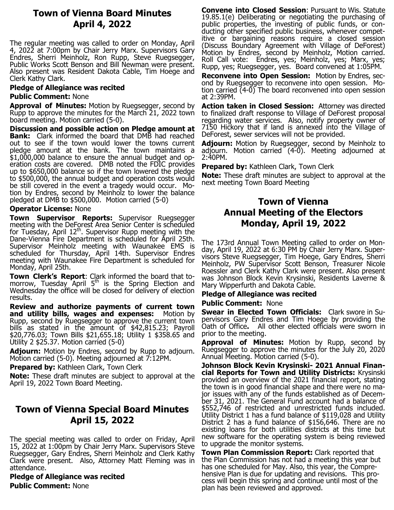# **Town of Vienna Board Minutes April 4, 2022**

The regular meeting was called to order on Monday, April 4, 2022 at 7:00pm by Chair Jerry Marx. Supervisors Gary Endres, Sherri Meinholz, Ron Rupp, Steve Ruegsegger, Public Works Scott Benson and Bill Newman were present. Also present was Resident Dakota Cable, Tim Hoege and Clerk Kathy Clark.

### **Pledge of Allegiance was recited**

#### **Public Comment:** None

**Approval of Minutes:** Motion by Ruegsegger, second by Rupp to approve the minutes for the March 21, 2022 town board meeting. Motion carried (5-0).

**Discussion and possible action on Pledge amount at Bank:** Clark informed the board that DMB had reached out to see if the town would lower the towns current pledge amount at the bank. The town maintains a \$1,000,000 balance to ensure the annual budget and operation costs are covered. DMB noted the FDIC provides up to \$650,000 balance so if the town lowered the pledge to \$500,000, the annual budget and operation costs would be still covered in the event a tragedy would occur. Motion by Endres, second by Meinholz to lower the balance pledged at DMB to \$500,000. Motion carried (5-0)

### **Operator License:** None

**Town Supervisor Reports:** Supervisor Ruegsegger meeting with the DeForest Area Senior Center is scheduled for Tuesday, April  $12^{\text{th}}$ . Supervisor Rupp meeting with the Dane-Vienna Fire Department is scheduled for April 25th. Supervisor Meinholz meeting with Waunakee EMS is scheduled for Thursday, April 14th. Supervisor Endres meeting with Waunakee Fire Department is scheduled for Monday, April 25th.

**Town Clerk's Report**: Clark informed the board that tomorrow, Tuesday April  $5<sup>th</sup>$  is the Spring Election and Wednesday the office will be closed for delivery of election results.

**Review and authorize payments of current town and utility bills, wages and expenses:** Motion by Rupp, second by Ruegsegger to approve the current town bills as stated in the amount of \$42,815.23; Payroll \$20,776.03; Town Bills \$21,655.18; Utility 1 \$358.65 and Utility 2 \$25.37. Motion carried (5-0)

**Adjourn:** Motion by Endres, second by Rupp to adjourn. Motion carried (5-0). Meeting adjourned at 7:12PM.

**Prepared by:** Kathleen Clark, Town Clerk

**Note:** These draft minutes are subject to approval at the April 19, 2022 Town Board Meeting.

## **Town of Vienna Special Board Minutes April 15, 2022**

The special meeting was called to order on Friday, April 15, 2022 at 1:00pm by Chair Jerry Marx. Supervisors Steve Ruegsegger, Gary Endres, Sherri Meinholz and Clerk Kathy Clark were present. Also, Attorney Matt Fleming was in attendance.

**Pledge of Allegiance was recited Public Comment:** None

**Convene into Closed Session**: Pursuant to Wis. Statute 19.85.1(e) Deliberating or negotiating the purchasing of public properties, the investing of public funds, or conducting other specified public business, whenever competitive or bargaining reasons require a closed session (Discuss Boundary Agreement with Village of DeForest) Motion by Endres, second by Meinholz, Motion carried. Roll Call vote: Endres, yes; Meinholz, yes; Marx, yes; Rupp, yes; Ruegsegger, yes. Board convened at 1:05PM.

**Reconvene into Open Session:** Motion by Endres, second by Ruegsegger to reconvene into open session. Motion carried (4-0) The board reconvened into open session at 2:39PM.

**Action taken in Closed Session:** Attorney was directed to finalized draft response to Village of DeForest proposal regarding water services. Also, notify property owner of 7150 Hickory that if land is annexed into the Village of DeForest, sewer services will not be provided.

**Adjourn:** Motion by Ruegsegger, second by Meinholz to adjourn. Motion carried (4-0). Meeting adjourned at 2:40PM.

**Prepared by: Kathleen Clark, Town Clerk** 

**Note:** These draft minutes are subject to approval at the next meeting Town Board Meeting

## **Town of Vienna Annual Meeting of the Electors Monday, April 19, 2022**

The 173rd Annual Town Meeting called to order on Monday, April 19, 2022 at 6:30 PM by Chair Jerry Marx. Supervisors Steve Ruegsegger, Tim Hoege, Gary Endres, Sherri Meinholz, PW Supervisor Scott Benson, Treasurer Nicole Roessler and Clerk Kathy Clark were present. Also present was Johnson Block Kevin Krysinski, Residents Laverne & Mary Wipperfurth and Dakota Cable.

## **Pledge of Allegiance was recited**

#### **Public Comment:** None

**Swear in Elected Town Officials:** Clark swore in Supervisors Gary Endres and Tim Hoege by providing the Oath of Office**.** All other elected officials were sworn in prior to the meeting.

**Approval of Minutes:** Motion by Rupp, second by Ruegsegger to approve the minutes for the July 20, 2020 Annual Meeting. Motion carried (5-0).

**Johnson Block Kevin Krysinski- 2021 Annual Financial Reports for Town and Utility Districts:** Krysinski provided an overview of the 2021 financial report, stating the town is in good financial shape and there were no major issues with any of the funds established as of December 31, 2021. The General Fund account had a balance of \$552,746 of restricted and unrestricted funds included. Utility District 1 has a fund balance of \$119,028 and Utility District 2 has a fund balance of \$156,646. There are no existing loans for both utilities districts at this time but new software for the operating system is being reviewed to upgrade the monitor systems.

**Town Plan Commission Report:** Clark reported that the Plan Commission has not had a meeting this year but has one scheduled for May. Also, this year, the Comprehensive Plan is due for updating and revisions. This process will begin this spring and continue until most of the plan has been reviewed and approved.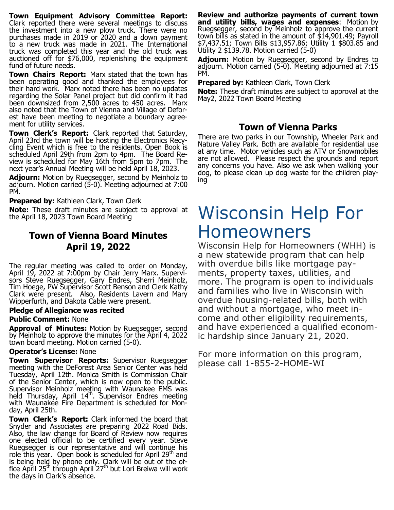**Town Equipment Advisory Committee Report:**  Clark reported there were several meetings to discuss the investment into a new plow truck. There were no purchases made in 2019 or 2020 and a down payment to a new truck was made in 2021. The International truck was completed this year and the old truck was auctioned off for \$76,000, replenishing the equipment fund of future needs.

**Town Chairs Report:** Marx stated that the town has been operating good and thanked the employees for their hard work. Marx noted there has been no updates regarding the Solar Panel project but did confirm it had been downsized from 2,500 acres to 450 acres. Marx also noted that the Town of Vienna and Village of Deforest have been meeting to negotiate a boundary agreement for utility services.

**Town Clerk's Report:** Clark reported that Saturday, April 23rd the town will be hosting the Electronics Recycling Event which is free to the residents. Open Book is scheduled April 29th from 2pm to 4pm. The Board Review is scheduled for May 16th from 5pm to 7pm. The next year's Annual Meeting will be held April 18, 2023.

**Adjourn:** Motion by Ruegsegger, second by Meinholz to adjourn. Motion carried (5-0). Meeting adjourned at 7:00 PM.

**Prepared by:** Kathleen Clark, Town Clerk

**Note:** These draft minutes are subject to approval at the April 18, 2023 Town Board Meeting

## **Town of Vienna Board Minutes April 19, 2022**

The regular meeting was called to order on Monday, April 19, 2022 at 7:00pm by Chair Jerry Marx. Supervisors Steve Ruegsegger, Gary Endres, Sherri Meinholz, Tim Hoege, PW Supervisor Scott Benson and Clerk Kathy Clark were present. Also, Residents Lavern and Mary Wipperfurth, and Dakota Cable were present.

#### **Pledge of Allegiance was recited**

#### **Public Comment:** None

**Approval of Minutes:** Motion by Ruegsegger, second by Meinholz to approve the minutes for the April 4, 2022 town board meeting. Motion carried (5-0).

#### **Operator's License:** None

**Town Supervisor Reports:** Supervisor Ruegsegger meeting with the DeForest Area Senior Center was held Tuesday, April 12th. Monica Smith is Commission Chair of the Senior Center, which is now open to the public. Supervisor Meinholz meeting with Waunakee EMS was held Thursday, April  $14<sup>th</sup>$ . Supervisor Endres meeting with Waunakee Fire Department is scheduled for Monday, April 25th.

**Town Clerk's Report:** Clark informed the board that Snyder and Associates are preparing 2022 Road Bids. Also, the law change for Board of Review now requires one elected official to be certified every year. Steve Ruegsegger is our representative and will continue his role this year. Open book is scheduled for April  $29<sup>th</sup>$  and is being held by phone only. Clark will be out of the office April 25<sup>th</sup> through April 27<sup>th</sup> but Lori Breiwa will work the days in Clark's absence.

**Review and authorize payments of current town and utility bills, wages and expenses**: Motion by Ruegsegger, second by Meinholz to approve the current town bills as stated in the amount of \$14,901.49; Payroll \$7,437.51; Town Bills \$13,957.86; Utility 1 \$803.85 and Utility 2 \$139.78. Motion carried (5-0)

**Adjourn:** Motion by Ruegsegger, second by Endres to adjourn. Motion carried (5-0). Meeting adjourned at 7:15 PM.

**Prepared by:** Kathleen Clark, Town Clerk

**Note:** These draft minutes are subject to approval at the May2, 2022 Town Board Meeting

# **Town of Vienna Parks**

There are two parks in our Township, Wheeler Park and Nature Valley Park. Both are available for residential use at any time. Motor vehicles such as ATV or Snowmobiles are not allowed. Please respect the grounds and report any concerns you have. Also we ask when walking your dog, to please clean up dog waste for the children playing

# Wisconsin Help For Homeowners

Wisconsin Help for Homeowners (WHH) is a new statewide program that can help with overdue bills like mortgage payments, property taxes, utilities, and more. The program is open to individuals and families who live in Wisconsin with overdue housing-related bills, both with and without a mortgage, who meet income and other eligibility requirements, and have experienced a qualified economic hardship since January 21, 2020.

For more information on this program, please call 1-855-2-HOME-WI